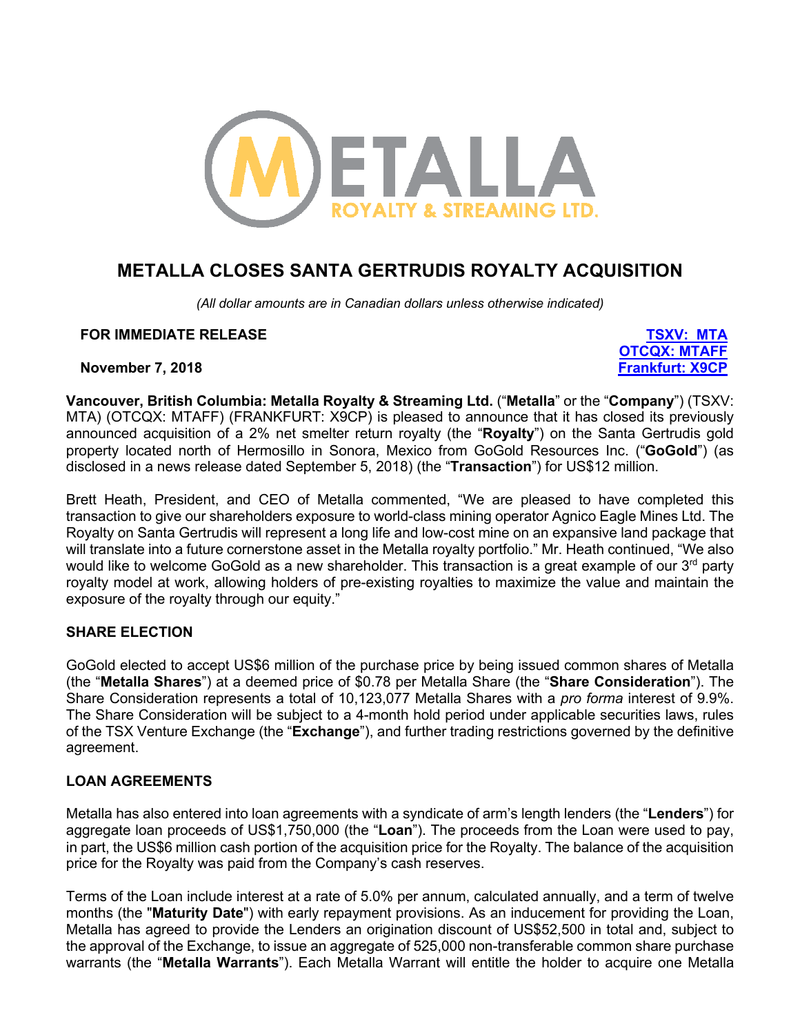

# **METALLA CLOSES SANTA GERTRUDIS ROYALTY ACQUISITION**

*(All dollar amounts are in Canadian dollars unless otherwise indicated)*

#### **FOR IMMEDIATE RELEASE TSXV: MTA**

**OTCQX: MTAFF**

**November 7, 2018 Frankfurt: X9CP**

**Vancouver, British Columbia: Metalla Royalty & Streaming Ltd.** ("**Metalla**" or the "**Company**") (TSXV: MTA) (OTCQX: MTAFF) (FRANKFURT: X9CP) is pleased to announce that it has closed its previously announced acquisition of a 2% net smelter return royalty (the "**Royalty**") on the Santa Gertrudis gold property located north of Hermosillo in Sonora, Mexico from GoGold Resources Inc. ("**GoGold**") (as disclosed in a news release dated September 5, 2018) (the "**Transaction**") for US\$12 million.

Brett Heath, President, and CEO of Metalla commented, "We are pleased to have completed this transaction to give our shareholders exposure to world-class mining operator Agnico Eagle Mines Ltd. The Royalty on Santa Gertrudis will represent a long life and low-cost mine on an expansive land package that will translate into a future cornerstone asset in the Metalla royalty portfolio." Mr. Heath continued, "We also would like to welcome GoGold as a new shareholder. This transaction is a great example of our 3<sup>rd</sup> party royalty model at work, allowing holders of pre-existing royalties to maximize the value and maintain the exposure of the royalty through our equity."

### **SHARE ELECTION**

GoGold elected to accept US\$6 million of the purchase price by being issued common shares of Metalla (the "**Metalla Shares**") at a deemed price of \$0.78 per Metalla Share (the "**Share Consideration**"). The Share Consideration represents a total of 10,123,077 Metalla Shares with a *pro forma* interest of 9.9%. The Share Consideration will be subject to a 4-month hold period under applicable securities laws, rules of the TSX Venture Exchange (the "**Exchange**"), and further trading restrictions governed by the definitive agreement.

### **LOAN AGREEMENTS**

Metalla has also entered into loan agreements with a syndicate of arm's length lenders (the "**Lenders**") for aggregate loan proceeds of US\$1,750,000 (the "**Loan**"). The proceeds from the Loan were used to pay, in part, the US\$6 million cash portion of the acquisition price for the Royalty. The balance of the acquisition price for the Royalty was paid from the Company's cash reserves.

Terms of the Loan include interest at a rate of 5.0% per annum, calculated annually, and a term of twelve months (the "**Maturity Date**") with early repayment provisions. As an inducement for providing the Loan, Metalla has agreed to provide the Lenders an origination discount of US\$52,500 in total and, subject to the approval of the Exchange, to issue an aggregate of 525,000 non-transferable common share purchase warrants (the "**Metalla Warrants**"). Each Metalla Warrant will entitle the holder to acquire one Metalla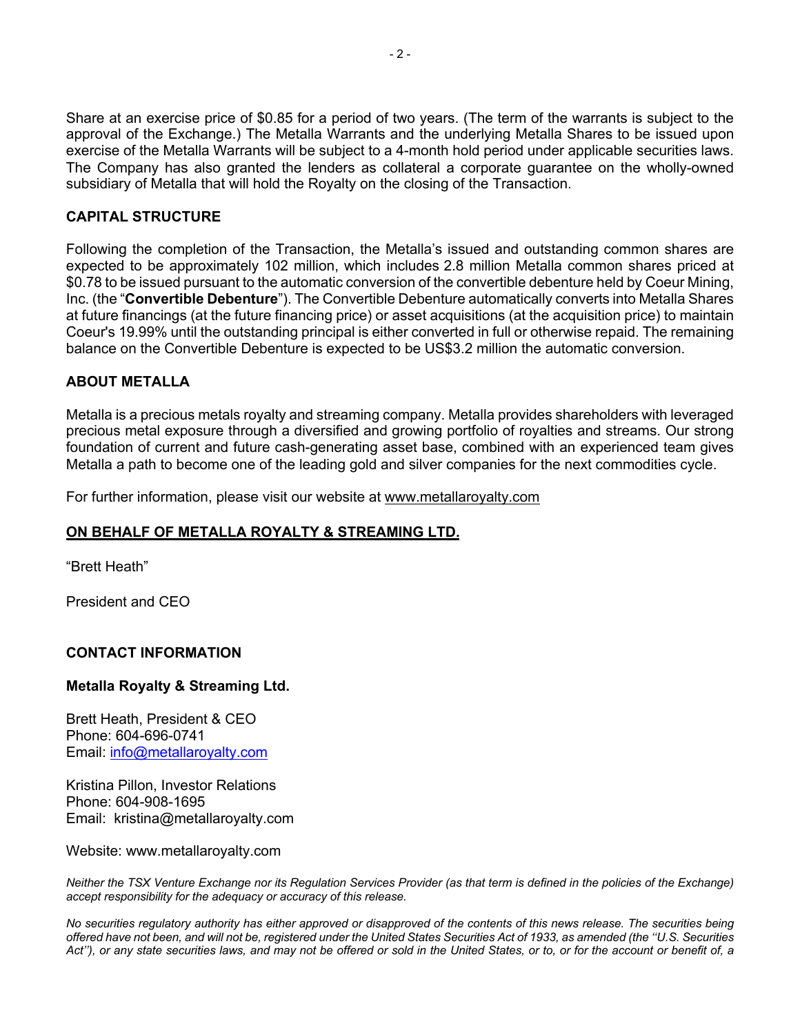Share at an exercise price of \$0.85 for a period of two years. (The term of the warrants is subject to the approval of the Exchange.) The Metalla Warrants and the underlying Metalla Shares to be issued upon exercise of the Metalla Warrants will be subject to a 4-month hold period under applicable securities laws. The Company has also granted the lenders as collateral a corporate guarantee on the wholly-owned subsidiary of Metalla that will hold the Royalty on the closing of the Transaction.

## **CAPITAL STRUCTURE**

Following the completion of the Transaction, the Metalla's issued and outstanding common shares are expected to be approximately 102 million, which includes 2.8 million Metalla common shares priced at \$0.78 to be issued pursuant to the automatic conversion of the convertible debenture held by Coeur Mining, Inc. (the "**Convertible Debenture**"). The Convertible Debenture automatically converts into Metalla Shares at future financings (at the future financing price) or asset acquisitions (at the acquisition price) to maintain Coeur's 19.99% until the outstanding principal is either converted in full or otherwise repaid. The remaining balance on the Convertible Debenture is expected to be US\$3.2 million the automatic conversion.

### **ABOUT METALLA**

Metalla is a precious metals royalty and streaming company. Metalla provides shareholders with leveraged precious metal exposure through a diversified and growing portfolio of royalties and streams. Our strong foundation of current and future cash-generating asset base, combined with an experienced team gives Metalla a path to become one of the leading gold and silver companies for the next commodities cycle.

For further information, please visit our website at www.metallaroyalty.com

### **ON BEHALF OF METALLA ROYALTY & STREAMING LTD.**

"Brett Heath"

President and CEO

### **CONTACT INFORMATION**

### **Metalla Royalty & Streaming Ltd.**

Brett Heath, President & CEO Phone: 604-696-0741 Email: info@metallaroyalty.com

Kristina Pillon, Investor Relations Phone: 604-908-1695 Email: kristina@metallaroyalty.com

Website: www.metallaroyalty.com

*Neither the TSX Venture Exchange nor its Regulation Services Provider (as that term is defined in the policies of the Exchange) accept responsibility for the adequacy or accuracy of this release.*

*No securities regulatory authority has either approved or disapproved of the contents of this news release. The securities being offered have not been, and will not be, registered under the United States Securities Act of 1933, as amended (the ''U.S. Securities Act''), or any state securities laws, and may not be offered or sold in the United States, or to, or for the account or benefit of, a*